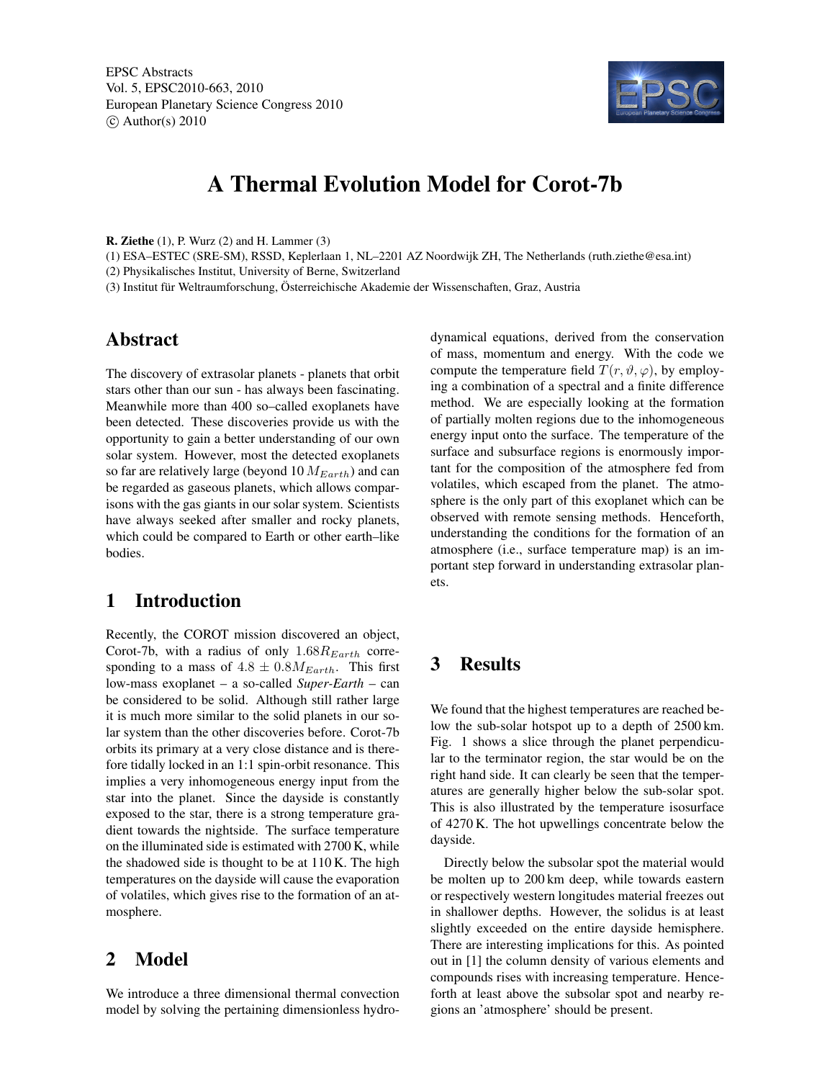

# A Thermal Evolution Model for Corot-7b

R. Ziethe (1), P. Wurz (2) and H. Lammer (3)

(1) ESA–ESTEC (SRE-SM), RSSD, Keplerlaan 1, NL–2201 AZ Noordwijk ZH, The Netherlands (ruth.ziethe@esa.int) (2) Physikalisches Institut, University of Berne, Switzerland

(3) Institut für Weltraumforschung, Österreichische Akademie der Wissenschaften, Graz, Austria

## Abstract

The discovery of extrasolar planets - planets that orbit stars other than our sun - has always been fascinating. Meanwhile more than 400 so–called exoplanets have been detected. These discoveries provide us with the opportunity to gain a better understanding of our own solar system. However, most the detected exoplanets so far are relatively large (beyond 10  $M_{Earth}$ ) and can be regarded as gaseous planets, which allows comparisons with the gas giants in our solar system. Scientists have always seeked after smaller and rocky planets, which could be compared to Earth or other earth–like bodies.

## 1 Introduction

Recently, the COROT mission discovered an object, Corot-7b, with a radius of only  $1.68R_{Earth}$  corresponding to a mass of  $4.8 \pm 0.8M_{Earth}$ . This first low-mass exoplanet – a so-called *Super-Earth* – can be considered to be solid. Although still rather large it is much more similar to the solid planets in our solar system than the other discoveries before. Corot-7b orbits its primary at a very close distance and is therefore tidally locked in an 1:1 spin-orbit resonance. This implies a very inhomogeneous energy input from the star into the planet. Since the dayside is constantly exposed to the star, there is a strong temperature gradient towards the nightside. The surface temperature on the illuminated side is estimated with 2700 K, while the shadowed side is thought to be at 110 K. The high temperatures on the dayside will cause the evaporation of volatiles, which gives rise to the formation of an atmosphere.

#### 2 Model

We introduce a three dimensional thermal convection model by solving the pertaining dimensionless hydrodynamical equations, derived from the conservation of mass, momentum and energy. With the code we compute the temperature field  $T(r, \vartheta, \varphi)$ , by employing a combination of a spectral and a finite difference method. We are especially looking at the formation of partially molten regions due to the inhomogeneous energy input onto the surface. The temperature of the surface and subsurface regions is enormously important for the composition of the atmosphere fed from volatiles, which escaped from the planet. The atmosphere is the only part of this exoplanet which can be observed with remote sensing methods. Henceforth, understanding the conditions for the formation of an atmosphere (i.e., surface temperature map) is an important step forward in understanding extrasolar planets.

# 3 Results

We found that the highest temperatures are reached below the sub-solar hotspot up to a depth of 2500 km. Fig. 1 shows a slice through the planet perpendicular to the terminator region, the star would be on the right hand side. It can clearly be seen that the temperatures are generally higher below the sub-solar spot. This is also illustrated by the temperature isosurface of 4270 K. The hot upwellings concentrate below the dayside.

Directly below the subsolar spot the material would be molten up to 200 km deep, while towards eastern or respectively western longitudes material freezes out in shallower depths. However, the solidus is at least slightly exceeded on the entire dayside hemisphere. There are interesting implications for this. As pointed out in [1] the column density of various elements and compounds rises with increasing temperature. Henceforth at least above the subsolar spot and nearby regions an 'atmosphere' should be present.